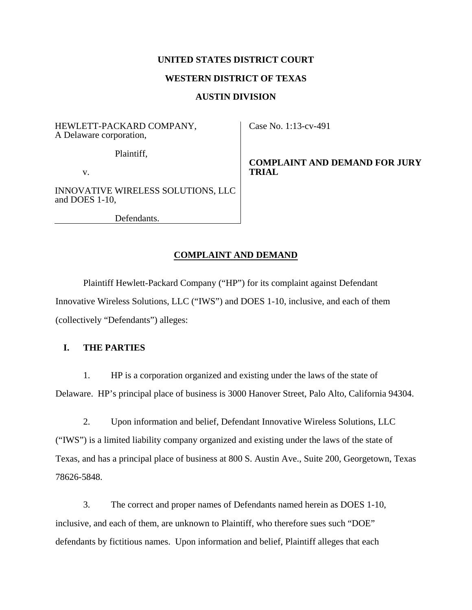## **UNITED STATES DISTRICT COURT**

#### **WESTERN DISTRICT OF TEXAS**

#### **AUSTIN DIVISION**

HEWLETT-PACKARD COMPANY, A Delaware corporation,

Plaintiff,

v.

INNOVATIVE WIRELESS SOLUTIONS, LLC and DOES 1-10,

Defendants.

Case No. 1:13-cv-491

**COMPLAINT AND DEMAND FOR JURY TRIAL** 

#### **COMPLAINT AND DEMAND**

Plaintiff Hewlett-Packard Company ("HP") for its complaint against Defendant Innovative Wireless Solutions, LLC ("IWS") and DOES 1-10, inclusive, and each of them (collectively "Defendants") alleges:

## **I. THE PARTIES**

1. HP is a corporation organized and existing under the laws of the state of Delaware. HP's principal place of business is 3000 Hanover Street, Palo Alto, California 94304.

2. Upon information and belief, Defendant Innovative Wireless Solutions, LLC ("IWS") is a limited liability company organized and existing under the laws of the state of Texas, and has a principal place of business at 800 S. Austin Ave., Suite 200, Georgetown, Texas 78626-5848.

3. The correct and proper names of Defendants named herein as DOES 1-10, inclusive, and each of them, are unknown to Plaintiff, who therefore sues such "DOE" defendants by fictitious names. Upon information and belief, Plaintiff alleges that each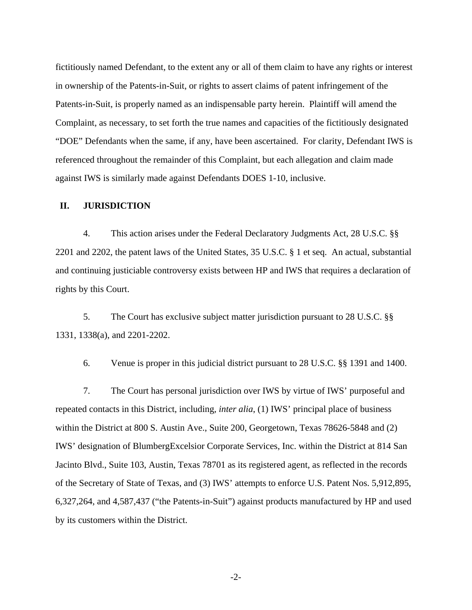fictitiously named Defendant, to the extent any or all of them claim to have any rights or interest in ownership of the Patents-in-Suit, or rights to assert claims of patent infringement of the Patents-in-Suit, is properly named as an indispensable party herein. Plaintiff will amend the Complaint, as necessary, to set forth the true names and capacities of the fictitiously designated "DOE" Defendants when the same, if any, have been ascertained. For clarity, Defendant IWS is referenced throughout the remainder of this Complaint, but each allegation and claim made against IWS is similarly made against Defendants DOES 1-10, inclusive.

#### **II. JURISDICTION**

4. This action arises under the Federal Declaratory Judgments Act, 28 U.S.C. §§ 2201 and 2202, the patent laws of the United States, 35 U.S.C. § 1 et seq. An actual, substantial and continuing justiciable controversy exists between HP and IWS that requires a declaration of rights by this Court.

5. The Court has exclusive subject matter jurisdiction pursuant to 28 U.S.C. §§ 1331, 1338(a), and 2201-2202.

6. Venue is proper in this judicial district pursuant to 28 U.S.C. §§ 1391 and 1400.

7. The Court has personal jurisdiction over IWS by virtue of IWS' purposeful and repeated contacts in this District, including, *inter alia*, (1) IWS' principal place of business within the District at 800 S. Austin Ave., Suite 200, Georgetown, Texas 78626-5848 and (2) IWS' designation of BlumbergExcelsior Corporate Services, Inc. within the District at 814 San Jacinto Blvd., Suite 103, Austin, Texas 78701 as its registered agent, as reflected in the records of the Secretary of State of Texas, and (3) IWS' attempts to enforce U.S. Patent Nos. 5,912,895, 6,327,264, and 4,587,437 ("the Patents-in-Suit") against products manufactured by HP and used by its customers within the District.

-2-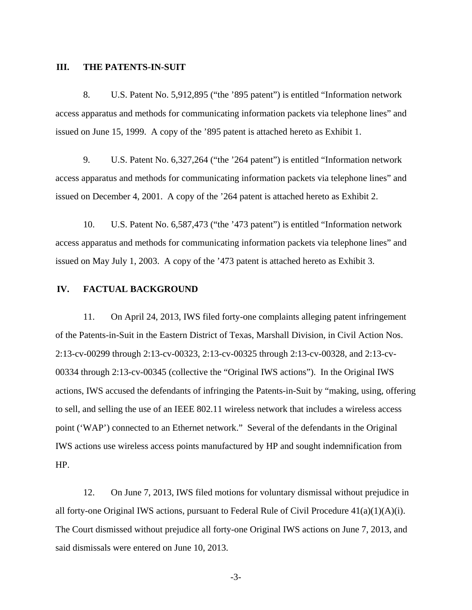#### **III. THE PATENTS-IN-SUIT**

8. U.S. Patent No. 5,912,895 ("the '895 patent") is entitled "Information network access apparatus and methods for communicating information packets via telephone lines" and issued on June 15, 1999. A copy of the '895 patent is attached hereto as Exhibit 1.

9. U.S. Patent No. 6,327,264 ("the '264 patent") is entitled "Information network access apparatus and methods for communicating information packets via telephone lines" and issued on December 4, 2001. A copy of the '264 patent is attached hereto as Exhibit 2.

10. U.S. Patent No. 6,587,473 ("the '473 patent") is entitled "Information network access apparatus and methods for communicating information packets via telephone lines" and issued on May July 1, 2003. A copy of the '473 patent is attached hereto as Exhibit 3.

## **IV. FACTUAL BACKGROUND**

11. On April 24, 2013, IWS filed forty-one complaints alleging patent infringement of the Patents-in-Suit in the Eastern District of Texas, Marshall Division, in Civil Action Nos. 2:13-cv-00299 through 2:13-cv-00323, 2:13-cv-00325 through 2:13-cv-00328, and 2:13-cv-00334 through 2:13-cv-00345 (collective the "Original IWS actions"). In the Original IWS actions, IWS accused the defendants of infringing the Patents-in-Suit by "making, using, offering to sell, and selling the use of an IEEE 802.11 wireless network that includes a wireless access point ('WAP') connected to an Ethernet network." Several of the defendants in the Original IWS actions use wireless access points manufactured by HP and sought indemnification from HP.

12. On June 7, 2013, IWS filed motions for voluntary dismissal without prejudice in all forty-one Original IWS actions, pursuant to Federal Rule of Civil Procedure 41(a)(1)(A)(i). The Court dismissed without prejudice all forty-one Original IWS actions on June 7, 2013, and said dismissals were entered on June 10, 2013.

-3-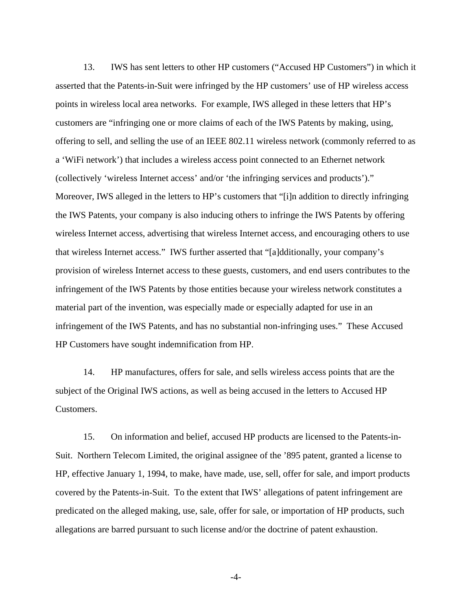13. IWS has sent letters to other HP customers ("Accused HP Customers") in which it asserted that the Patents-in-Suit were infringed by the HP customers' use of HP wireless access points in wireless local area networks. For example, IWS alleged in these letters that HP's customers are "infringing one or more claims of each of the IWS Patents by making, using, offering to sell, and selling the use of an IEEE 802.11 wireless network (commonly referred to as a 'WiFi network') that includes a wireless access point connected to an Ethernet network (collectively 'wireless Internet access' and/or 'the infringing services and products')." Moreover, IWS alleged in the letters to HP's customers that "[i]n addition to directly infringing the IWS Patents, your company is also inducing others to infringe the IWS Patents by offering wireless Internet access, advertising that wireless Internet access, and encouraging others to use that wireless Internet access." IWS further asserted that "[a]dditionally, your company's provision of wireless Internet access to these guests, customers, and end users contributes to the infringement of the IWS Patents by those entities because your wireless network constitutes a material part of the invention, was especially made or especially adapted for use in an infringement of the IWS Patents, and has no substantial non-infringing uses." These Accused HP Customers have sought indemnification from HP.

14. HP manufactures, offers for sale, and sells wireless access points that are the subject of the Original IWS actions, as well as being accused in the letters to Accused HP Customers.

15. On information and belief, accused HP products are licensed to the Patents-in-Suit. Northern Telecom Limited, the original assignee of the '895 patent, granted a license to HP, effective January 1, 1994, to make, have made, use, sell, offer for sale, and import products covered by the Patents-in-Suit. To the extent that IWS' allegations of patent infringement are predicated on the alleged making, use, sale, offer for sale, or importation of HP products, such allegations are barred pursuant to such license and/or the doctrine of patent exhaustion.

-4-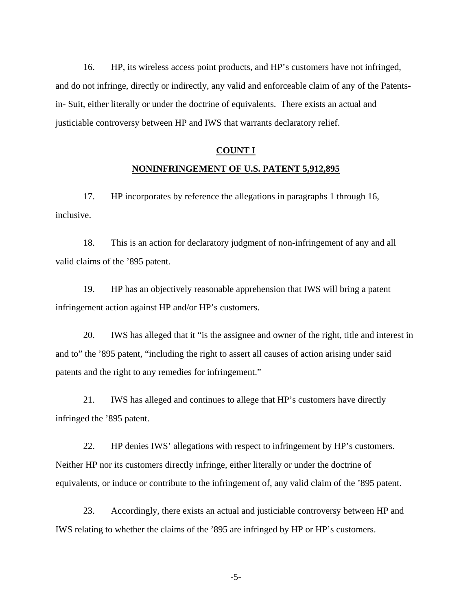16. HP, its wireless access point products, and HP's customers have not infringed, and do not infringe, directly or indirectly, any valid and enforceable claim of any of the Patentsin- Suit, either literally or under the doctrine of equivalents. There exists an actual and justiciable controversy between HP and IWS that warrants declaratory relief.

## **COUNT I**

## **NONINFRINGEMENT OF U.S. PATENT 5,912,895**

17. HP incorporates by reference the allegations in paragraphs 1 through 16, inclusive.

18. This is an action for declaratory judgment of non-infringement of any and all valid claims of the '895 patent.

19. HP has an objectively reasonable apprehension that IWS will bring a patent infringement action against HP and/or HP's customers.

20. IWS has alleged that it "is the assignee and owner of the right, title and interest in and to" the '895 patent, "including the right to assert all causes of action arising under said patents and the right to any remedies for infringement."

21. IWS has alleged and continues to allege that HP's customers have directly infringed the '895 patent.

22. HP denies IWS' allegations with respect to infringement by HP's customers. Neither HP nor its customers directly infringe, either literally or under the doctrine of equivalents, or induce or contribute to the infringement of, any valid claim of the '895 patent.

23. Accordingly, there exists an actual and justiciable controversy between HP and IWS relating to whether the claims of the '895 are infringed by HP or HP's customers.

-5-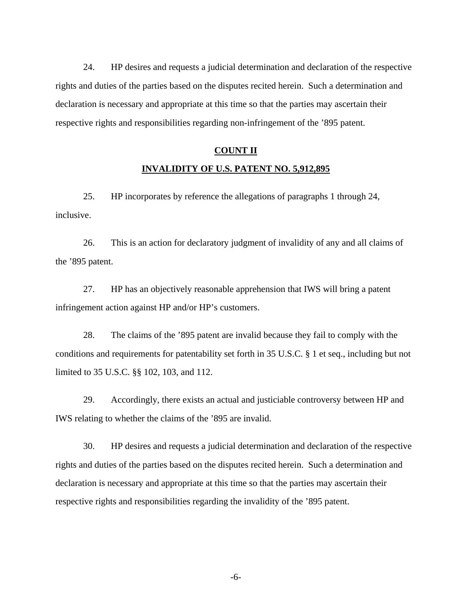24. HP desires and requests a judicial determination and declaration of the respective rights and duties of the parties based on the disputes recited herein. Such a determination and declaration is necessary and appropriate at this time so that the parties may ascertain their respective rights and responsibilities regarding non-infringement of the '895 patent.

# **COUNT II INVALIDITY OF U.S. PATENT NO. 5,912,895**

25. HP incorporates by reference the allegations of paragraphs 1 through 24, inclusive.

26. This is an action for declaratory judgment of invalidity of any and all claims of the '895 patent.

27. HP has an objectively reasonable apprehension that IWS will bring a patent infringement action against HP and/or HP's customers.

28. The claims of the '895 patent are invalid because they fail to comply with the conditions and requirements for patentability set forth in 35 U.S.C. § 1 et seq., including but not limited to 35 U.S.C. §§ 102, 103, and 112.

29. Accordingly, there exists an actual and justiciable controversy between HP and IWS relating to whether the claims of the '895 are invalid.

30. HP desires and requests a judicial determination and declaration of the respective rights and duties of the parties based on the disputes recited herein. Such a determination and declaration is necessary and appropriate at this time so that the parties may ascertain their respective rights and responsibilities regarding the invalidity of the '895 patent.

-6-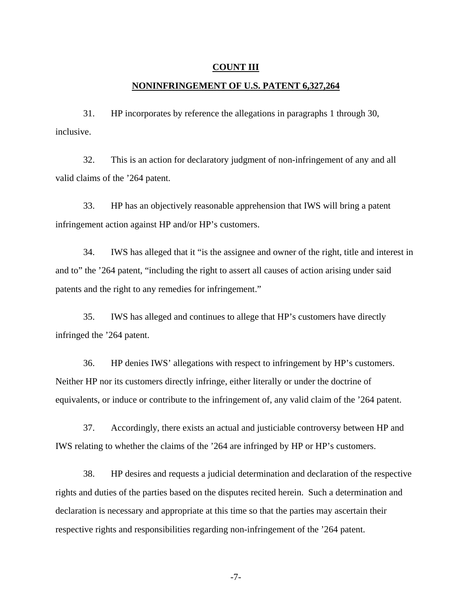#### **COUNT III**

## **NONINFRINGEMENT OF U.S. PATENT 6,327,264**

31. HP incorporates by reference the allegations in paragraphs 1 through 30, inclusive.

32. This is an action for declaratory judgment of non-infringement of any and all valid claims of the '264 patent.

33. HP has an objectively reasonable apprehension that IWS will bring a patent infringement action against HP and/or HP's customers.

34. IWS has alleged that it "is the assignee and owner of the right, title and interest in and to" the '264 patent, "including the right to assert all causes of action arising under said patents and the right to any remedies for infringement."

35. IWS has alleged and continues to allege that HP's customers have directly infringed the '264 patent.

36. HP denies IWS' allegations with respect to infringement by HP's customers. Neither HP nor its customers directly infringe, either literally or under the doctrine of equivalents, or induce or contribute to the infringement of, any valid claim of the '264 patent.

37. Accordingly, there exists an actual and justiciable controversy between HP and IWS relating to whether the claims of the '264 are infringed by HP or HP's customers.

38. HP desires and requests a judicial determination and declaration of the respective rights and duties of the parties based on the disputes recited herein. Such a determination and declaration is necessary and appropriate at this time so that the parties may ascertain their respective rights and responsibilities regarding non-infringement of the '264 patent.

-7-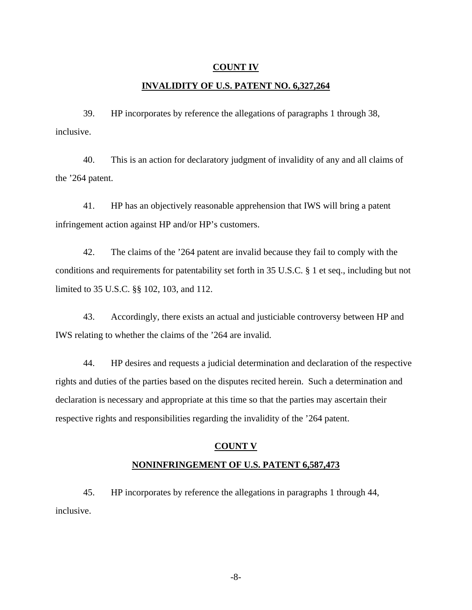#### **COUNT IV**

## **INVALIDITY OF U.S. PATENT NO. 6,327,264**

39. HP incorporates by reference the allegations of paragraphs 1 through 38, inclusive.

40. This is an action for declaratory judgment of invalidity of any and all claims of the '264 patent.

41. HP has an objectively reasonable apprehension that IWS will bring a patent infringement action against HP and/or HP's customers.

42. The claims of the '264 patent are invalid because they fail to comply with the conditions and requirements for patentability set forth in 35 U.S.C. § 1 et seq., including but not limited to 35 U.S.C. §§ 102, 103, and 112.

43. Accordingly, there exists an actual and justiciable controversy between HP and IWS relating to whether the claims of the '264 are invalid.

44. HP desires and requests a judicial determination and declaration of the respective rights and duties of the parties based on the disputes recited herein. Such a determination and declaration is necessary and appropriate at this time so that the parties may ascertain their respective rights and responsibilities regarding the invalidity of the '264 patent.

#### **COUNT V**

#### **NONINFRINGEMENT OF U.S. PATENT 6,587,473**

45. HP incorporates by reference the allegations in paragraphs 1 through 44, inclusive.

-8-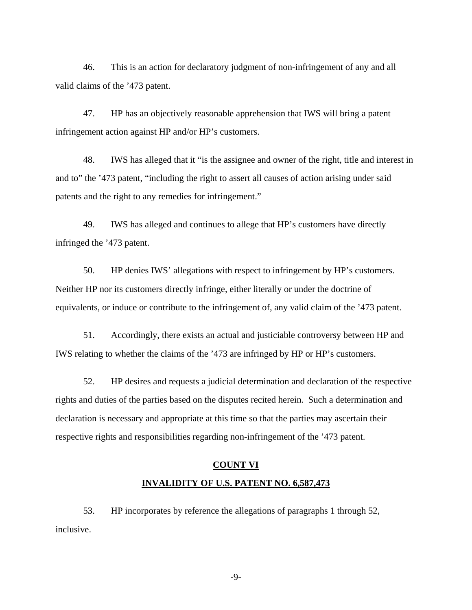46. This is an action for declaratory judgment of non-infringement of any and all valid claims of the '473 patent.

47. HP has an objectively reasonable apprehension that IWS will bring a patent infringement action against HP and/or HP's customers.

48. IWS has alleged that it "is the assignee and owner of the right, title and interest in and to" the '473 patent, "including the right to assert all causes of action arising under said patents and the right to any remedies for infringement."

49. IWS has alleged and continues to allege that HP's customers have directly infringed the '473 patent.

50. HP denies IWS' allegations with respect to infringement by HP's customers. Neither HP nor its customers directly infringe, either literally or under the doctrine of equivalents, or induce or contribute to the infringement of, any valid claim of the '473 patent.

51. Accordingly, there exists an actual and justiciable controversy between HP and IWS relating to whether the claims of the '473 are infringed by HP or HP's customers.

52. HP desires and requests a judicial determination and declaration of the respective rights and duties of the parties based on the disputes recited herein. Such a determination and declaration is necessary and appropriate at this time so that the parties may ascertain their respective rights and responsibilities regarding non-infringement of the '473 patent.

#### **COUNT VI**

## **INVALIDITY OF U.S. PATENT NO. 6,587,473**

53. HP incorporates by reference the allegations of paragraphs 1 through 52, inclusive.

-9-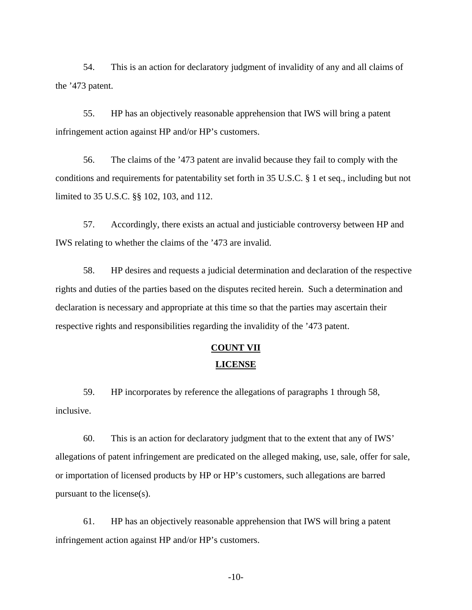54. This is an action for declaratory judgment of invalidity of any and all claims of the '473 patent.

55. HP has an objectively reasonable apprehension that IWS will bring a patent infringement action against HP and/or HP's customers.

56. The claims of the '473 patent are invalid because they fail to comply with the conditions and requirements for patentability set forth in 35 U.S.C. § 1 et seq., including but not limited to 35 U.S.C. §§ 102, 103, and 112.

57. Accordingly, there exists an actual and justiciable controversy between HP and IWS relating to whether the claims of the '473 are invalid.

58. HP desires and requests a judicial determination and declaration of the respective rights and duties of the parties based on the disputes recited herein. Such a determination and declaration is necessary and appropriate at this time so that the parties may ascertain their respective rights and responsibilities regarding the invalidity of the '473 patent.

# **COUNT VII**

## **LICENSE**

59. HP incorporates by reference the allegations of paragraphs 1 through 58, inclusive.

60. This is an action for declaratory judgment that to the extent that any of IWS' allegations of patent infringement are predicated on the alleged making, use, sale, offer for sale, or importation of licensed products by HP or HP's customers, such allegations are barred pursuant to the license(s).

61. HP has an objectively reasonable apprehension that IWS will bring a patent infringement action against HP and/or HP's customers.

-10-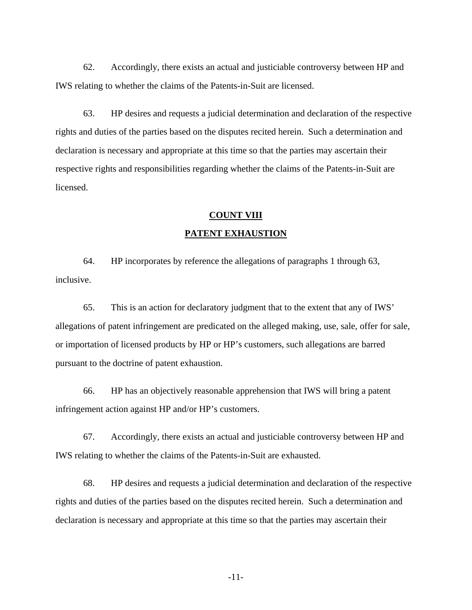62. Accordingly, there exists an actual and justiciable controversy between HP and IWS relating to whether the claims of the Patents-in-Suit are licensed.

63. HP desires and requests a judicial determination and declaration of the respective rights and duties of the parties based on the disputes recited herein. Such a determination and declaration is necessary and appropriate at this time so that the parties may ascertain their respective rights and responsibilities regarding whether the claims of the Patents-in-Suit are licensed.

## **COUNT VIII PATENT EXHAUSTION**

64. HP incorporates by reference the allegations of paragraphs 1 through 63, inclusive.

65. This is an action for declaratory judgment that to the extent that any of IWS' allegations of patent infringement are predicated on the alleged making, use, sale, offer for sale, or importation of licensed products by HP or HP's customers, such allegations are barred pursuant to the doctrine of patent exhaustion.

66. HP has an objectively reasonable apprehension that IWS will bring a patent infringement action against HP and/or HP's customers.

67. Accordingly, there exists an actual and justiciable controversy between HP and IWS relating to whether the claims of the Patents-in-Suit are exhausted.

68. HP desires and requests a judicial determination and declaration of the respective rights and duties of the parties based on the disputes recited herein. Such a determination and declaration is necessary and appropriate at this time so that the parties may ascertain their

-11-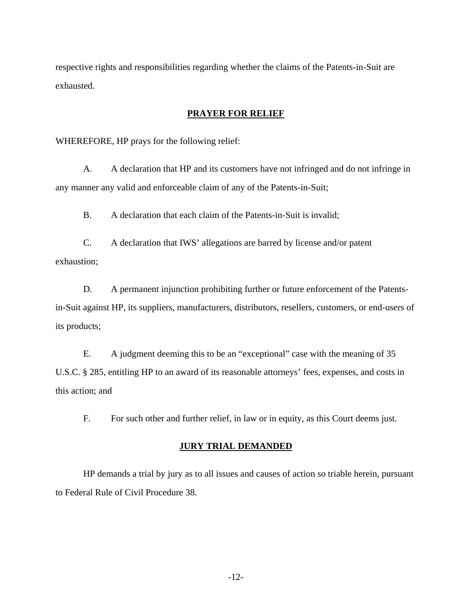respective rights and responsibilities regarding whether the claims of the Patents-in-Suit are exhausted.

## **PRAYER FOR RELIEF**

WHEREFORE, HP prays for the following relief:

A. A declaration that HP and its customers have not infringed and do not infringe in any manner any valid and enforceable claim of any of the Patents-in-Suit;

B. A declaration that each claim of the Patents-in-Suit is invalid;

C. A declaration that IWS' allegations are barred by license and/or patent exhaustion;

D. A permanent injunction prohibiting further or future enforcement of the Patentsin-Suit against HP, its suppliers, manufacturers, distributors, resellers, customers, or end-users of its products;

E. A judgment deeming this to be an "exceptional" case with the meaning of 35 U.S.C. § 285, entitling HP to an award of its reasonable attorneys' fees, expenses, and costs in this action; and

F. For such other and further relief, in law or in equity, as this Court deems just.

#### **JURY TRIAL DEMANDED**

HP demands a trial by jury as to all issues and causes of action so triable herein, pursuant to Federal Rule of Civil Procedure 38.